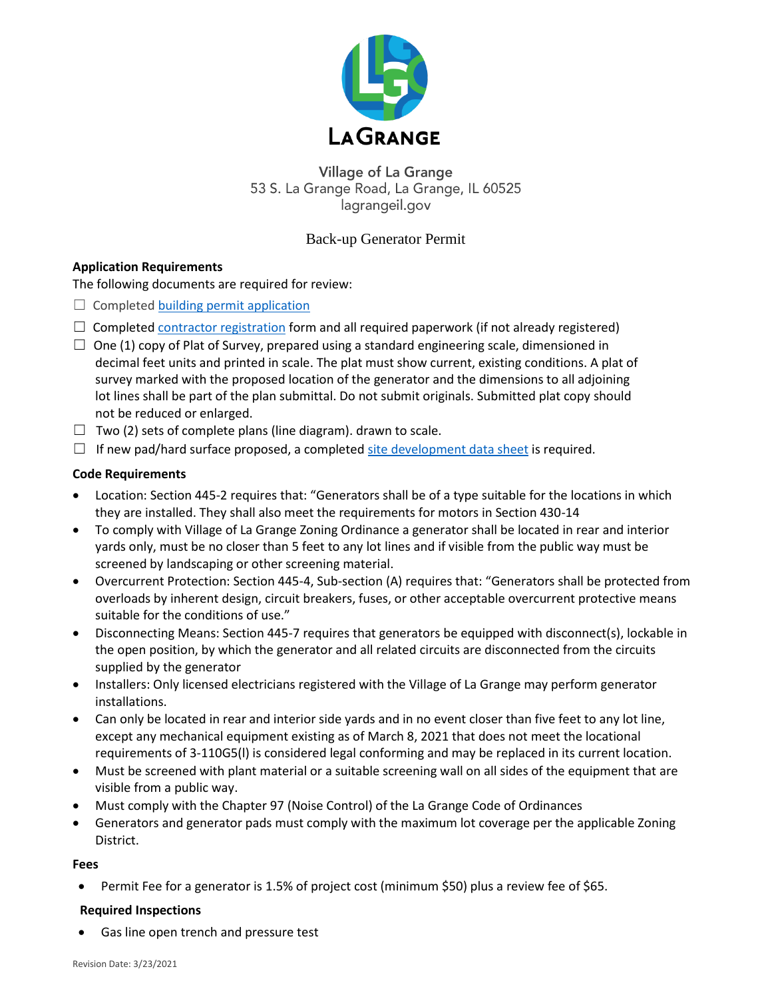

**Village of La Grange** 53 S. La Grange Road, La Grange, IL 60525 lagrangeil.gov

### Back-up Generator Permit

### **Application Requirements**

The following documents are required for review:

- $\Box$  Completed [building permit application](https://www.lagrangeil.gov/DocumentCenter/View/517/building_permit_application?bidId=)
- $\Box$  Completed [contractor registration](https://www.lagrangeil.gov/DocumentCenter/View/97/ContractorAnnualRegistration?bidId=) form and all required paperwork (if not already registered)
- $\Box$  One (1) copy of Plat of Survey, prepared using a standard engineering scale, dimensioned in decimal feet units and printed in scale. The plat must show current, existing conditions. A plat of survey marked with the proposed location of the generator and the dimensions to all adjoining lot lines shall be part of the plan submittal. Do not submit originals. Submitted plat copy should not be reduced or enlarged.
- $\Box$  Two (2) sets of complete plans (line diagram). drawn to scale.
- $\Box$  If new pad/hard surface proposed, a complete[d site development data sheet](https://www.lagrangeil.gov/DocumentCenter/View/2346/Site-Development-2-page) is required.

### **Code Requirements**

- Location: Section 445-2 requires that: "Generators shall be of a type suitable for the locations in which they are installed. They shall also meet the requirements for motors in Section 430-14
- To comply with Village of La Grange Zoning Ordinance a generator shall be located in rear and interior yards only, must be no closer than 5 feet to any lot lines and if visible from the public way must be screened by landscaping or other screening material.
- Overcurrent Protection: Section 445-4, Sub-section (A) requires that: "Generators shall be protected from overloads by inherent design, circuit breakers, fuses, or other acceptable overcurrent protective means suitable for the conditions of use."
- Disconnecting Means: Section 445-7 requires that generators be equipped with disconnect(s), lockable in the open position, by which the generator and all related circuits are disconnected from the circuits supplied by the generator
- Installers: Only licensed electricians registered with the Village of La Grange may perform generator installations.
- Can only be located in rear and interior side yards and in no event closer than five feet to any lot line, except any mechanical equipment existing as of March 8, 2021 that does not meet the locational requirements of 3-110G5(l) is considered legal conforming and may be replaced in its current location.
- Must be screened with plant material or a suitable screening wall on all sides of the equipment that are visible from a public way.
- Must comply with the Chapter 97 (Noise Control) of the La Grange Code of Ordinances
- Generators and generator pads must comply with the maximum lot coverage per the applicable Zoning District.

### **Fees**

Permit Fee for a generator is 1.5% of project cost (minimum \$50) plus a review fee of \$65.

### **Required Inspections**

Gas line open trench and pressure test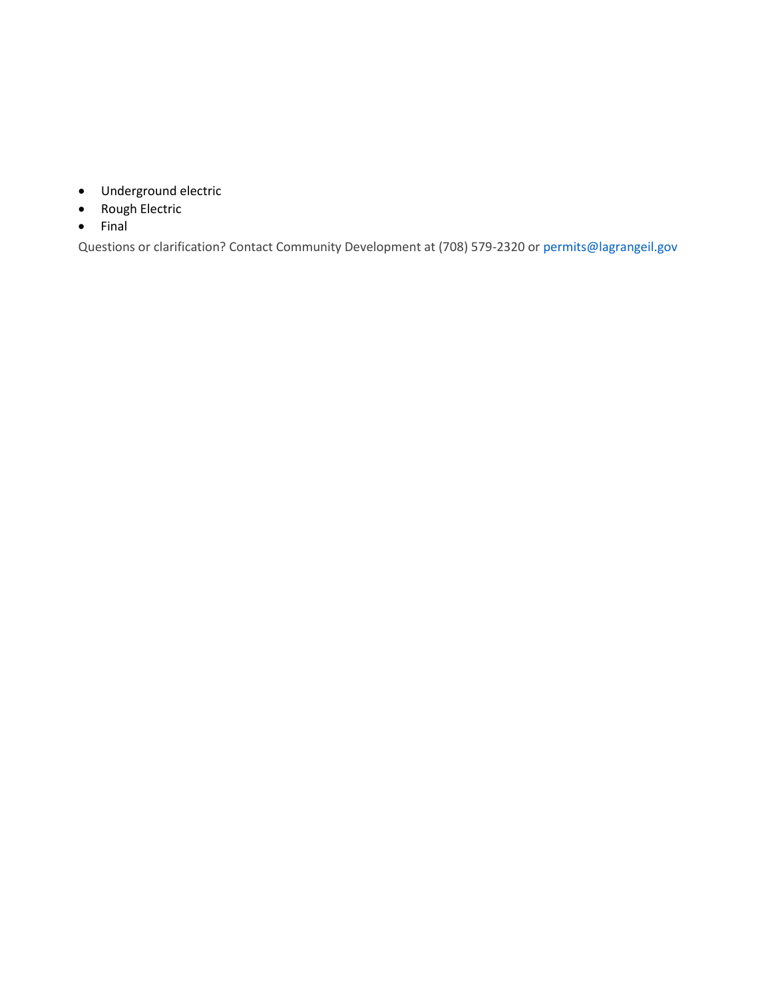- Underground electric
- Rough Electric
- $\bullet$  Final

Questions or clarification? Contact Community Development at (708) 579-2320 or permits@lagrangeil.gov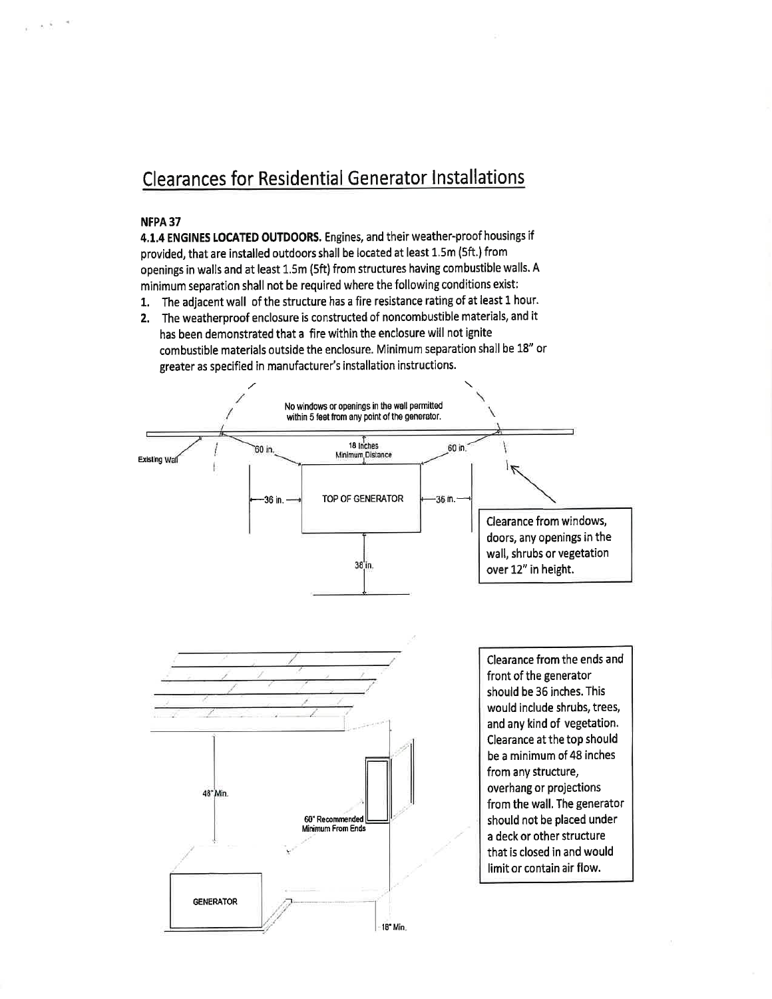# **Clearances for Residential Generator Installations**

#### NFPA 37

4.1.4 ENGINES LOCATED OUTDOORS. Engines, and their weather-proof housings if provided, that are installed outdoors shall be located at least 1.5m (5ft.) from openings in walls and at least 1.5m (5ft) from structures having combustible walls. A minimum separation shall not be required where the following conditions exist:

1. The adjacent wall of the structure has a fire resistance rating of at least 1 hour.

2. The weatherproof enclosure is constructed of noncombustible materials, and it has been demonstrated that a fire within the enclosure will not ignite combustible materials outside the enclosure. Minimum separation shall be 18" or greater as specified in manufacturer's installation instructions.